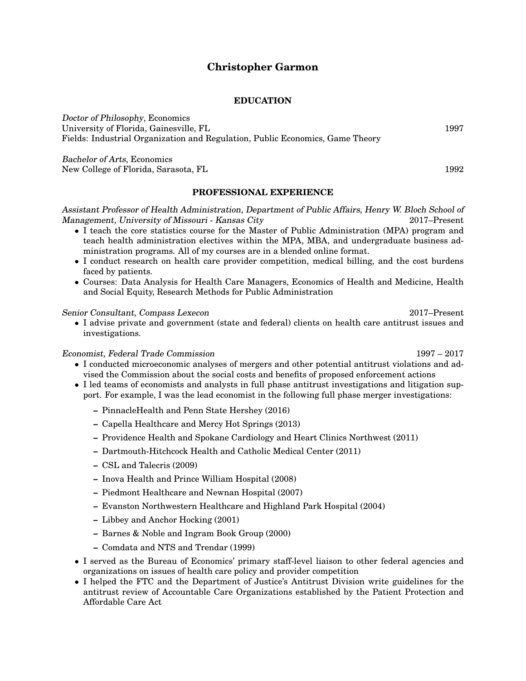# **Christopher Garmon**

## **EDUCATION**

Doctor of Philosophy, Economics University of Florida, Gainesville, FL 1997 Fields: Industrial Organization and Regulation, Public Economics, Game Theory

Bachelor of Arts, Economics New College of Florida, Sarasota, FL 1992

## **PROFESSIONAL EXPERIENCE**

Assistant Professor of Health Administration, Department of Public Affairs, Henry W. Bloch School of Management, University of Missouri - Kansas City 2017–Present

- I teach the core statistics course for the Master of Public Administration (MPA) program and teach health administration electives within the MPA, MBA, and undergraduate business administration programs. All of my courses are in a blended online format.
- I conduct research on health care provider competition, medical billing, and the cost burdens faced by patients.
- Courses: Data Analysis for Health Care Managers, Economics of Health and Medicine, Health and Social Equity, Research Methods for Public Administration

## Senior Consultant, Compass Lexecon 2017–Present

• I advise private and government (state and federal) clients on health care antitrust issues and investigations.

Economist, Federal Trade Commission 1997 – 2017

- I conducted microeconomic analyses of mergers and other potential antitrust violations and advised the Commission about the social costs and benefits of proposed enforcement actions
- I led teams of economists and analysts in full phase antitrust investigations and litigation support. For example, I was the lead economist in the following full phase merger investigations:
	- **–** PinnacleHealth and Penn State Hershey (2016)
	- **–** Capella Healthcare and Mercy Hot Springs (2013)
	- **–** Providence Health and Spokane Cardiology and Heart Clinics Northwest (2011)
	- **–** Dartmouth-Hitchcock Health and Catholic Medical Center (2011)
	- **–** CSL and Talecris (2009)
	- **–** Inova Health and Prince William Hospital (2008)
	- **–** Piedmont Healthcare and Newnan Hospital (2007)
	- **–** Evanston Northwestern Healthcare and Highland Park Hospital (2004)
	- **–** Libbey and Anchor Hocking (2001)
	- **–** Barnes & Noble and Ingram Book Group (2000)
	- **–** Comdata and NTS and Trendar (1999)
- I served as the Bureau of Economics' primary staff-level liaison to other federal agencies and organizations on issues of health care policy and provider competition
- I helped the FTC and the Department of Justice's Antitrust Division write guidelines for the antitrust review of Accountable Care Organizations established by the Patient Protection and Affordable Care Act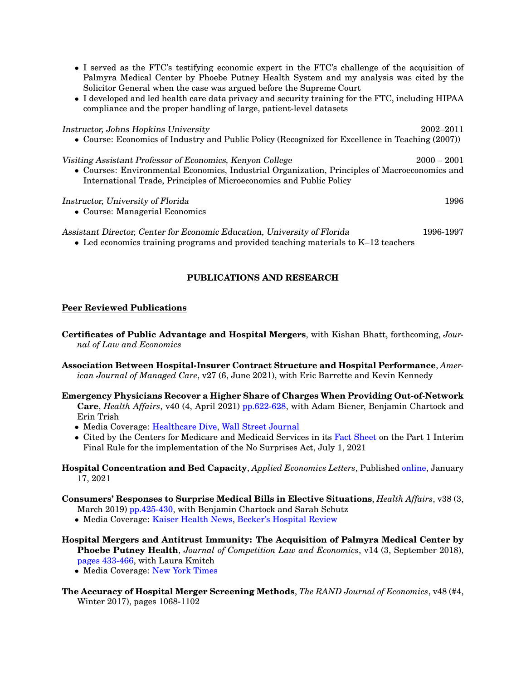- I served as the FTC's testifying economic expert in the FTC's challenge of the acquisition of Palmyra Medical Center by Phoebe Putney Health System and my analysis was cited by the Solicitor General when the case was argued before the Supreme Court
- I developed and led health care data privacy and security training for the FTC, including HIPAA compliance and the proper handling of large, patient-level datasets

Instructor, Johns Hopkins University 2002–2011

• Course: Economics of Industry and Public Policy (Recognized for Excellence in Teaching (2007))

| Visiting Assistant Professor of Economics, Kenyon College                                     | $2000 - 2001$ |
|-----------------------------------------------------------------------------------------------|---------------|
| • Courses: Environmental Economics, Industrial Organization, Principles of Macroeconomics and |               |
| International Trade, Principles of Microeconomics and Public Policy                           |               |

#### Instructor, University of Florida 1996

• Course: Managerial Economics

Assistant Director, Center for Economic Education, University of Florida 1996-1997

• Led economics training programs and provided teaching materials to K–12 teachers

## **PUBLICATIONS AND RESEARCH**

## **Peer Reviewed Publications**

**Certificates of Public Advantage and Hospital Mergers**, with Kishan Bhatt, forthcoming, *Journal of Law and Economics*

- **Association Between Hospital-Insurer Contract Structure and Hospital Performance**, *American Journal of Managed Care*, v27 (6, June 2021), with Eric Barrette and Kevin Kennedy
- **Emergency Physicians Recover a Higher Share of Charges When Providing Out-of-Network Care**, *Health Affairs*, v40 (4, April 2021) [pp.622-628,](https://www.healthaffairs.org/doi/full/10.1377/hlthaff.2020.01471) with Adam Biener, Benjamin Chartock and Erin Trish
	- Media Coverage: [Healthcare Dive,](https://www.healthcaredive.com/news/patients-hit-with-surprise-medical-bills-paid-er-docs-10-times-more-than-ot/598231/) [Wall Street Journal](https://www.wsj.com/articles/patients-to-be-protected-from-surprise-billing-under-new-rule-11625170951)
	- Cited by the Centers for Medicare and Medicaid Services in its [Fact Sheet](https://www.cms.gov/newsroom/fact-sheets/requirements-related-surprise-billing-part-i-interim-final-rule-comment-period#_ftnref1) on the Part 1 Interim Final Rule for the implementation of the No Surprises Act, July 1, 2021
- **Hospital Concentration and Bed Capacity**, *Applied Economics Letters*, Published [online,](https://doi.org/10.1080/13504851.2021.1875117) January 17, 2021

## **Consumers' Responses to Surprise Medical Bills in Elective Situations**, *Health Affairs*, v38 (3, March 2019) [pp.425-430,](https://www.healthaffairs.org/doi/full/10.1377/hlthaff.2018.05399) with Benjamin Chartock and Sarah Schutz

- Media Coverage: [Kaiser Health News,](https://khn.org/news/this-time-when-my-water-breaks-take-me-to-a-hospital-without-surprise-bills/?MessageRunDetailID=128242130&PostID=4451502) [Becker's Hospital Review](https://www.beckershospitalreview.com/finance/patients-more-likely-to-ditch-preferred-hospital-after-a-surprise-bill-study-finds.html)
- **Hospital Mergers and Antitrust Immunity: The Acquisition of Palmyra Medical Center by Phoebe Putney Health**, *Journal of Competition Law and Economics*, v14 (3, September 2018), [pages 433-466,](https://doi.org/10.1093/joclec/nhy015) with Laura Kmitch
	- Media Coverage: [New York Times](https://www.nytimes.com/2018/11/14/health/hospital-mergers-health-care-spending.html)
- **The Accuracy of Hospital Merger Screening Methods**, *The RAND Journal of Economics*, v48 (#4, Winter 2017), pages 1068-1102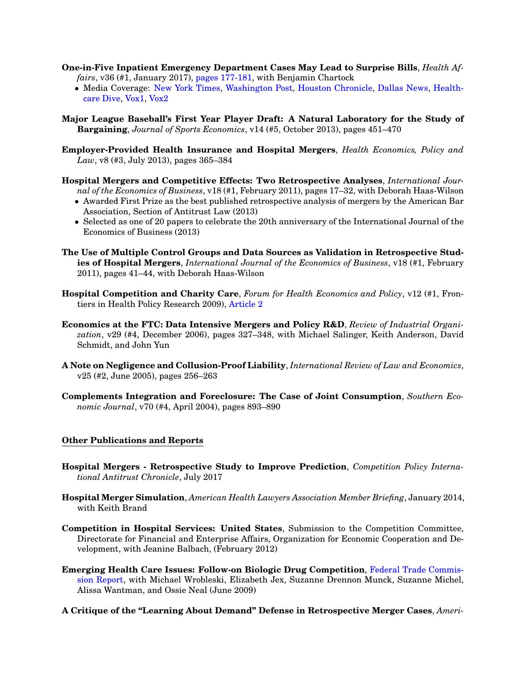- **One-in-Five Inpatient Emergency Department Cases May Lead to Surprise Bills**, *Health Affairs*, v36 (#1, January 2017), [pages 177-181,](http://content.healthaffairs.org/content/36/1/177) with Benjamin Chartock
	- Media Coverage: [New York Times,](https://www.nytimes.com/2020/12/22/upshot/ground-ambulances-left-off-surprise-medical-bill-law.html) [Washington Post,](https://www.washingtonpost.com/amphtml/national/health-science/ambulance-trips-can-leave-you-with-surprising--and-very-expensive--bills/2017/11/17/6be9280e-c313-11e7-84bc-5e285c7f4512_story.html) [Houston Chronicle,](http://www.houstonchronicle.com/business/medical/article/Lawmakers-and-consumer-groups-want-patients-12376001.php?utm_campaign=twitter-premium&utm_source=CMS%20Sharing%20Button&utm_medium=social) [Dallas News,](https://www.dallasnews.com/business/health-care/2017/01/20/medical-billing-surprise-bigger-texas) [Health](https://www.healthcaredive.com/news/growing-attention-on-surprise-medical-bills-highlights-need-for-legislative/436739/)[care Dive,](https://www.healthcaredive.com/news/growing-attention-on-surprise-medical-bills-highlights-need-for-legislative/436739/) [Vox1,](https://www.vox.com/2018/5/23/17353284/emergency-room-doctor-out-of-network) [Vox2](https://www.vox.com/policy-and-politics/2019/1/7/18137967/er-bills-zuckerberg-san-francisco-general-hospital)
- **Major League Baseball's First Year Player Draft: A Natural Laboratory for the Study of Bargaining**, *Journal of Sports Economics*, v14 (#5, October 2013), pages 451–470
- **Employer-Provided Health Insurance and Hospital Mergers**, *Health Economics, Policy and Law*, v8 (#3, July 2013), pages 365–384
- **Hospital Mergers and Competitive Effects: Two Retrospective Analyses**, *International Journal of the Economics of Business*, v18 (#1, February 2011), pages 17–32, with Deborah Haas-Wilson
	- Awarded First Prize as the best published retrospective analysis of mergers by the American Bar Association, Section of Antitrust Law (2013)
	- Selected as one of 20 papers to celebrate the 20th anniversary of the International Journal of the Economics of Business (2013)
- **The Use of Multiple Control Groups and Data Sources as Validation in Retrospective Studies of Hospital Mergers**, *International Journal of the Economics of Business*, v18 (#1, February 2011), pages 41–44, with Deborah Haas-Wilson
- **Hospital Competition and Charity Care**, *Forum for Health Economics and Policy*, v12 (#1, Frontiers in Health Policy Research 2009), [Article 2](http://www.bepress.com/fhep/12/1/2/)
- **Economics at the FTC: Data Intensive Mergers and Policy R&D**, *Review of Industrial Organization*, v29 (#4, December 2006), pages 327–348, with Michael Salinger, Keith Anderson, David Schmidt, and John Yun
- **A Note on Negligence and Collusion-Proof Liability**, *International Review of Law and Economics*, v25 (#2, June 2005), pages 256–263
- **Complements Integration and Foreclosure: The Case of Joint Consumption**, *Southern Economic Journal*, v70 (#4, April 2004), pages 893–890

## **Other Publications and Reports**

- **Hospital Mergers Retrospective Study to Improve Prediction**, *Competition Policy International Antitrust Chronicle*, July 2017
- **Hospital Merger Simulation**, *American Health Lawyers Association Member Briefing*, January 2014, with Keith Brand
- **Competition in Hospital Services: United States**, Submission to the Competition Committee, Directorate for Financial and Enterprise Affairs, Organization for Economic Cooperation and Development, with Jeanine Balbach, (February 2012)
- **Emerging Health Care Issues: Follow-on Biologic Drug Competition**, [Federal Trade Commis](http://www.ftc.gov/os/2009/06/P083901biologicsreport.pdf)[sion Report,](http://www.ftc.gov/os/2009/06/P083901biologicsreport.pdf) with Michael Wrobleski, Elizabeth Jex, Suzanne Drennon Munck, Suzanne Michel, Alissa Wantman, and Ossie Neal (June 2009)

**A Critique of the "Learning About Demand" Defense in Retrospective Merger Cases**, *Ameri-*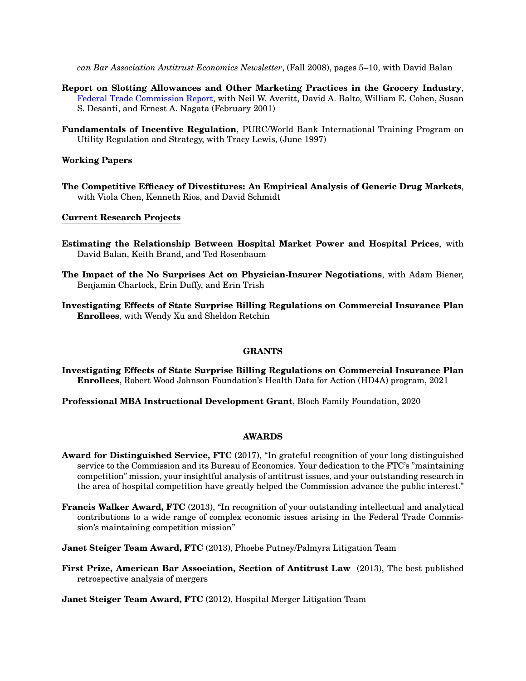*can Bar Association Antitrust Economics Newsletter*, (Fall 2008), pages 5–10, with David Balan

- **Report on Slotting Allowances and Other Marketing Practices in the Grocery Industry**, [Federal Trade Commission Report,](https://www.ftc.gov/news-events/press-releases/2001/02/ftc-releases-staff-report-slotting-allowances-and-other-grocery) with Neil W. Averitt, David A. Balto, William E. Cohen, Susan S. Desanti, and Ernest A. Nagata (February 2001)
- **Fundamentals of Incentive Regulation**, PURC/World Bank International Training Program on Utility Regulation and Strategy, with Tracy Lewis, (June 1997)

## **Working Papers**

**The Competitive Efficacy of Divestitures: An Empirical Analysis of Generic Drug Markets**, with Viola Chen, Kenneth Rios, and David Schmidt

## **Current Research Projects**

- **Estimating the Relationship Between Hospital Market Power and Hospital Prices**, with David Balan, Keith Brand, and Ted Rosenbaum
- **The Impact of the No Surprises Act on Physician-Insurer Negotiations**, with Adam Biener, Benjamin Chartock, Erin Duffy, and Erin Trish
- **Investigating Effects of State Surprise Billing Regulations on Commercial Insurance Plan Enrollees**, with Wendy Xu and Sheldon Retchin

## **GRANTS**

**Investigating Effects of State Surprise Billing Regulations on Commercial Insurance Plan Enrollees**, Robert Wood Johnson Foundation's Health Data for Action (HD4A) program, 2021

**Professional MBA Instructional Development Grant**, Bloch Family Foundation, 2020

## **AWARDS**

- **Award for Distinguished Service, FTC** (2017), "In grateful recognition of your long distinguished service to the Commission and its Bureau of Economics. Your dedication to the FTC's "maintaining competition" mission, your insightful analysis of antitrust issues, and your outstanding research in the area of hospital competition have greatly helped the Commission advance the public interest."
- **Francis Walker Award, FTC** (2013), "In recognition of your outstanding intellectual and analytical contributions to a wide range of complex economic issues arising in the Federal Trade Commission's maintaining competition mission"
- **Janet Steiger Team Award, FTC** (2013), Phoebe Putney/Palmyra Litigation Team
- **First Prize, American Bar Association, Section of Antitrust Law** (2013), The best published retrospective analysis of mergers

**Janet Steiger Team Award, FTC** (2012), Hospital Merger Litigation Team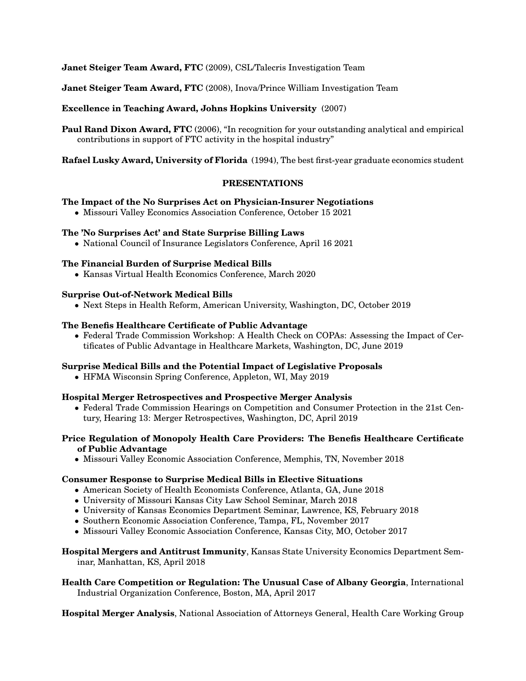**Janet Steiger Team Award, FTC** (2009), CSL/Talecris Investigation Team

**Janet Steiger Team Award, FTC** (2008), Inova/Prince William Investigation Team

## **Excellence in Teaching Award, Johns Hopkins University** (2007)

**Paul Rand Dixon Award, FTC** (2006), "In recognition for your outstanding analytical and empirical contributions in support of FTC activity in the hospital industry"

**Rafael Lusky Award, University of Florida** (1994), The best first-year graduate economics student

## **PRESENTATIONS**

## **The Impact of the No Surprises Act on Physician-Insurer Negotiations**

• Missouri Valley Economics Association Conference, October 15 2021

## **The 'No Surprises Act' and State Surprise Billing Laws**

• National Council of Insurance Legislators Conference, April 16 2021

## **The Financial Burden of Surprise Medical Bills**

• Kansas Virtual Health Economics Conference, March 2020

## **Surprise Out-of-Network Medical Bills**

• Next Steps in Health Reform, American University, Washington, DC, October 2019

## **The Benefis Healthcare Certificate of Public Advantage**

• Federal Trade Commission Workshop: A Health Check on COPAs: Assessing the Impact of Certificates of Public Advantage in Healthcare Markets, Washington, DC, June 2019

#### **Surprise Medical Bills and the Potential Impact of Legislative Proposals**

• HFMA Wisconsin Spring Conference, Appleton, WI, May 2019

## **Hospital Merger Retrospectives and Prospective Merger Analysis**

• Federal Trade Commission Hearings on Competition and Consumer Protection in the 21st Century, Hearing 13: Merger Retrospectives, Washington, DC, April 2019

## **Price Regulation of Monopoly Health Care Providers: The Benefis Healthcare Certificate of Public Advantage**

• Missouri Valley Economic Association Conference, Memphis, TN, November 2018

## **Consumer Response to Surprise Medical Bills in Elective Situations**

- American Society of Health Economists Conference, Atlanta, GA, June 2018
- University of Missouri Kansas City Law School Seminar, March 2018
- University of Kansas Economics Department Seminar, Lawrence, KS, February 2018
- Southern Economic Association Conference, Tampa, FL, November 2017
- Missouri Valley Economic Association Conference, Kansas City, MO, October 2017

## **Hospital Mergers and Antitrust Immunity**, Kansas State University Economics Department Seminar, Manhattan, KS, April 2018

**Health Care Competition or Regulation: The Unusual Case of Albany Georgia**, International Industrial Organization Conference, Boston, MA, April 2017

**Hospital Merger Analysis**, National Association of Attorneys General, Health Care Working Group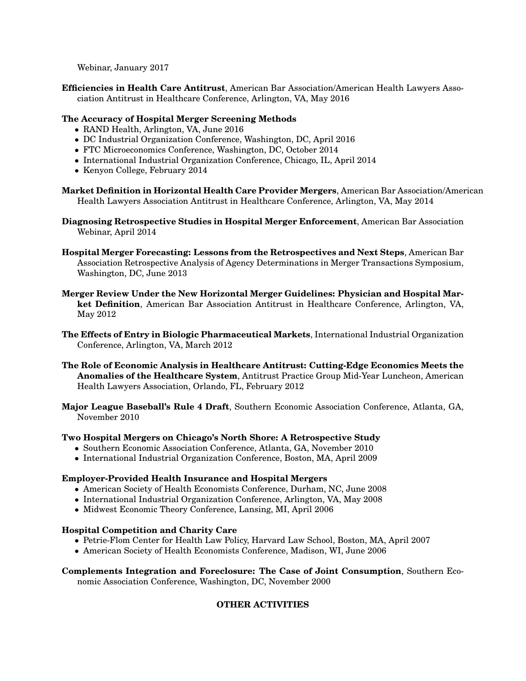Webinar, January 2017

**Efficiencies in Health Care Antitrust**, American Bar Association/American Health Lawyers Association Antitrust in Healthcare Conference, Arlington, VA, May 2016

# **The Accuracy of Hospital Merger Screening Methods**

- RAND Health, Arlington, VA, June 2016
- DC Industrial Organization Conference, Washington, DC, April 2016
- FTC Microeconomics Conference, Washington, DC, October 2014
- International Industrial Organization Conference, Chicago, IL, April 2014
- Kenyon College, February 2014
- **Market Definition in Horizontal Health Care Provider Mergers**, American Bar Association/American Health Lawyers Association Antitrust in Healthcare Conference, Arlington, VA, May 2014

**Diagnosing Retrospective Studies in Hospital Merger Enforcement**, American Bar Association Webinar, April 2014

- **Hospital Merger Forecasting: Lessons from the Retrospectives and Next Steps**, American Bar Association Retrospective Analysis of Agency Determinations in Merger Transactions Symposium, Washington, DC, June 2013
- **Merger Review Under the New Horizontal Merger Guidelines: Physician and Hospital Market Definition**, American Bar Association Antitrust in Healthcare Conference, Arlington, VA, May 2012
- **The Effects of Entry in Biologic Pharmaceutical Markets**, International Industrial Organization Conference, Arlington, VA, March 2012
- **The Role of Economic Analysis in Healthcare Antitrust: Cutting-Edge Economics Meets the Anomalies of the Healthcare System**, Antitrust Practice Group Mid-Year Luncheon, American Health Lawyers Association, Orlando, FL, February 2012
- **Major League Baseball's Rule 4 Draft**, Southern Economic Association Conference, Atlanta, GA, November 2010

# **Two Hospital Mergers on Chicago's North Shore: A Retrospective Study**

- Southern Economic Association Conference, Atlanta, GA, November 2010
- International Industrial Organization Conference, Boston, MA, April 2009

# **Employer-Provided Health Insurance and Hospital Mergers**

- American Society of Health Economists Conference, Durham, NC, June 2008
- International Industrial Organization Conference, Arlington, VA, May 2008
- Midwest Economic Theory Conference, Lansing, MI, April 2006

# **Hospital Competition and Charity Care**

- Petrie-Flom Center for Health Law Policy, Harvard Law School, Boston, MA, April 2007
- American Society of Health Economists Conference, Madison, WI, June 2006

# **Complements Integration and Foreclosure: The Case of Joint Consumption**, Southern Eco-

nomic Association Conference, Washington, DC, November 2000

# **OTHER ACTIVITIES**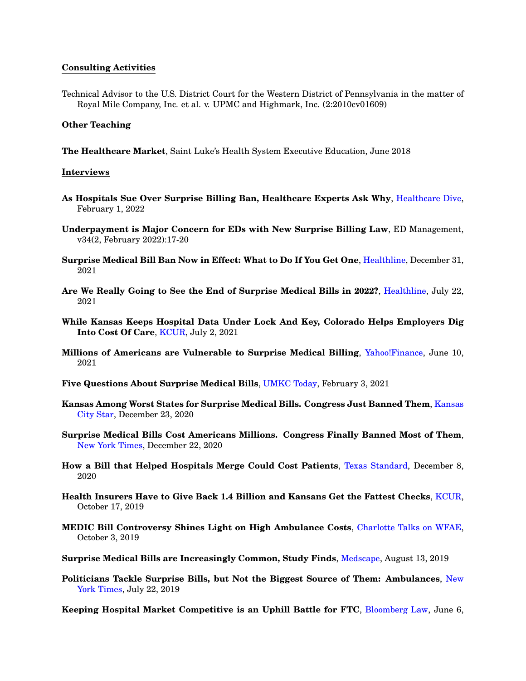## **Consulting Activities**

Technical Advisor to the U.S. District Court for the Western District of Pennsylvania in the matter of Royal Mile Company, Inc. et al. v. UPMC and Highmark, Inc. (2:2010cv01609)

## **Other Teaching**

**The Healthcare Market**, Saint Luke's Health System Executive Education, June 2018

#### **Interviews**

- **As Hospitals Sue Over Surprise Billing Ban, Healthcare Experts Ask Why**, [Healthcare Dive,](https://www.healthcaredive.com/news/hospitals-sue-over-surprise-billing-ban-why/617543/) February 1, 2022
- **Underpayment is Major Concern for EDs with New Surprise Billing Law**, ED Management, v34(2, February 2022):17-20
- **Surprise Medical Bill Ban Now in Effect: What to Do If You Get One**, [Healthline,](https://www.healthline.com/health-news/surprise-medical-bill-ban-now-in-effect-what-to-do-if-you-get-one) December 31, 2021
- **Are We Really Going to See the End of Surprise Medical Bills in 2022?**, [Healthline,](https://www.healthline.com/health-news/are-we-really-going-to-see-the-end-of-surprise-medical-bills-in-2022) July 22, 2021
- **While Kansas Keeps Hospital Data Under Lock And Key, Colorado Helps Employers Dig Into Cost Of Care**, [KCUR,](https://www.kcur.org/news/2021-07-02/while-kansas-keeps-hospital-data-under-lock-and-key-colorado-helps-employers-dig-into-cost-of-care?_amp=true&__twitter_impression=true&s=09) July 2, 2021
- **Millions of Americans are Vulnerable to Surprise Medical Billing**, [Yahoo!Finance,](https://finance.yahoo.com/news/surprise-medical-billing-america-202839622.html) June 10, 2021
- **Five Questions About Surprise Medical Bills**, [UMKC Today,](https://www.umkc.edu/news/posts/2021/february/five-questions-about-surprise-medical-bills.html) February 3, 2021
- **Kansas Among Worst States for Surprise Medical Bills. Congress Just Banned Them**, [Kansas](https://www.kansascity.com/news/business/health-care/article248038005.html) [City Star,](https://www.kansascity.com/news/business/health-care/article248038005.html) December 23, 2020
- **Surprise Medical Bills Cost Americans Millions. Congress Finally Banned Most of Them**, [New York Times,](https://www.nytimes.com/2020/12/20/upshot/surprise-medical-bills-congress-ban.html) December 22, 2020
- **How a Bill that Helped Hospitals Merge Could Cost Patients**, [Texas Standard,](https://www.texasstandard.org/stories/in-depth-how-a-bill-that-helped-hospitals-merge-could-cost-patients/) December 8, 2020
- **Health Insurers Have to Give Back 1.4 Billion and Kansans Get the Fattest Checks**, [KCUR,](https://www.kcur.org/post/health-insurers-have-give-back-14-billion-and-kansans-get-fattest-checks#stream/0) October 17, 2019
- **MEDIC Bill Controversy Shines Light on High Ambulance Costs**, [Charlotte Talks on WFAE,](https://www.wfae.org/post/charlotte-talks-medic-bill-controversy-shines-light-high-ambulance-costs#stream/0) October 3, 2019
- **Surprise Medical Bills are Increasingly Common, Study Finds**, [Medscape,](https://www.medscape.com/viewarticle/916792) August 13, 2019
- **Politicians Tackle Surprise Bills, but Not the Biggest Source of Them: Ambulances**, [New](https://www.nytimes.com/2019/07/22/upshot/ambulance-surprise-medical-bills-law.html) [York Times,](https://www.nytimes.com/2019/07/22/upshot/ambulance-surprise-medical-bills-law.html) July 22, 2019

**Keeping Hospital Market Competitive is an Uphill Battle for FTC**, [Bloomberg Law,](https://news.bloomberglaw.com/health-law-and-business/keeping-hospital-market-competitive-is-an-uphill-battle-for-ftc) June 6,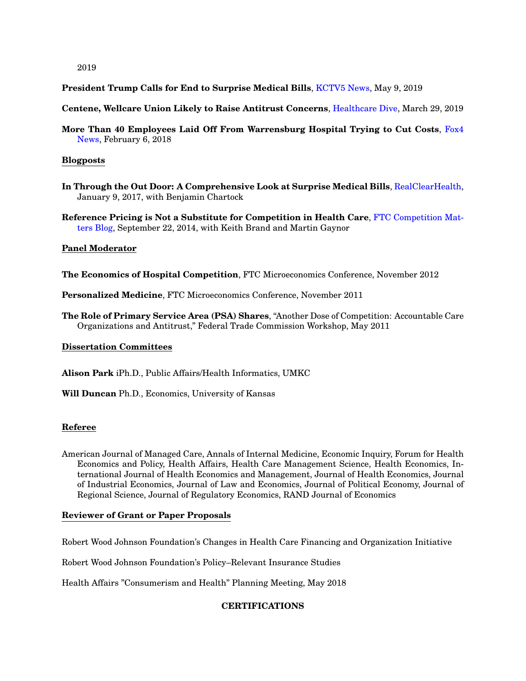2019

**President Trump Calls for End to Surprise Medical Bills, [KCTV5 News,](https://www.kctv5.com/president-trump-calls-for-end-to-surprise-medical-bills/video_ea09297b-c7d3-51a2-b277-1b96b66ad96d.html) May 9, 2019** 

**Centene, Wellcare Union Likely to Raise Antitrust Concerns**, [Healthcare Dive,](https://www.healthcaredive.com/news/centene-wellcare-union-likely-to-raise-antitrust-concerns/551479/) March 29, 2019

**More Than 40 Employees Laid Off From Warrensburg Hospital Trying to Cut Costs**, [Fox4](http://fox4kc.com/2018/02/06/a-complete-shock-more-than-40-employees-laid-off-from-warrensburg-hospital-trying-to-cut-costs/) [News,](http://fox4kc.com/2018/02/06/a-complete-shock-more-than-40-employees-laid-off-from-warrensburg-hospital-trying-to-cut-costs/) February 6, 2018

## **Blogposts**

**In Through the Out Door: A Comprehensive Look at Surprise Medical Bills**, [RealClearHealth,](http://www.realclearhealth.com/articles/2017/01/09/in_through_the_out_door_a_comprehensive_look_at_surprise_medical_bills__110368.html) January 9, 2017, with Benjamin Chartock

**Reference Pricing is Not a Substitute for Competition in Health Care**, [FTC Competition Mat](https://www.ftc.gov/news-events/blogs/competition-matters/2014/09/reference-pricing-not-substitute-competition-health)[ters Blog,](https://www.ftc.gov/news-events/blogs/competition-matters/2014/09/reference-pricing-not-substitute-competition-health) September 22, 2014, with Keith Brand and Martin Gaynor

## **Panel Moderator**

**The Economics of Hospital Competition**, FTC Microeconomics Conference, November 2012

**Personalized Medicine**, FTC Microeconomics Conference, November 2011

**The Role of Primary Service Area (PSA) Shares**, "Another Dose of Competition: Accountable Care Organizations and Antitrust," Federal Trade Commission Workshop, May 2011

## **Dissertation Committees**

**Alison Park** iPh.D., Public Affairs/Health Informatics, UMKC

**Will Duncan** Ph.D., Economics, University of Kansas

# **Referee**

American Journal of Managed Care, Annals of Internal Medicine, Economic Inquiry, Forum for Health Economics and Policy, Health Affairs, Health Care Management Science, Health Economics, International Journal of Health Economics and Management, Journal of Health Economics, Journal of Industrial Economics, Journal of Law and Economics, Journal of Political Economy, Journal of Regional Science, Journal of Regulatory Economics, RAND Journal of Economics

# **Reviewer of Grant or Paper Proposals**

Robert Wood Johnson Foundation's Changes in Health Care Financing and Organization Initiative

Robert Wood Johnson Foundation's Policy–Relevant Insurance Studies

Health Affairs "Consumerism and Health" Planning Meeting, May 2018

# **CERTIFICATIONS**